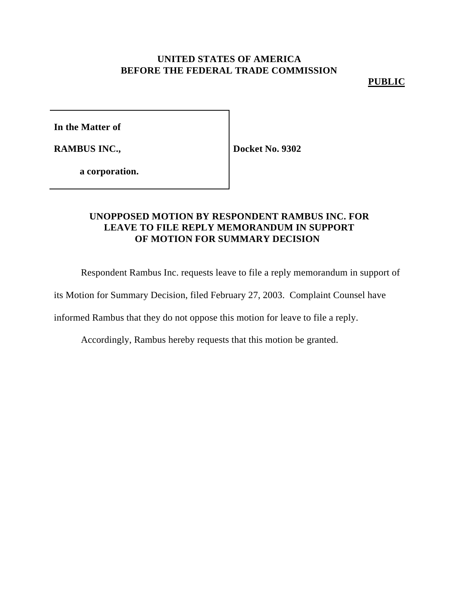### **PUBLIC**

**In the Matter of**

**RAMBUS INC.,**

**Docket No. 9302**

**a corporation.**

# **UNOPPOSED MOTION BY RESPONDENT RAMBUS INC. FOR LEAVE TO FILE REPLY MEMORANDUM IN SUPPORT OF MOTION FOR SUMMARY DECISION**

Respondent Rambus Inc. requests leave to file a reply memorandum in support of

its Motion for Summary Decision, filed February 27, 2003. Complaint Counsel have

informed Rambus that they do not oppose this motion for leave to file a reply.

Accordingly, Rambus hereby requests that this motion be granted.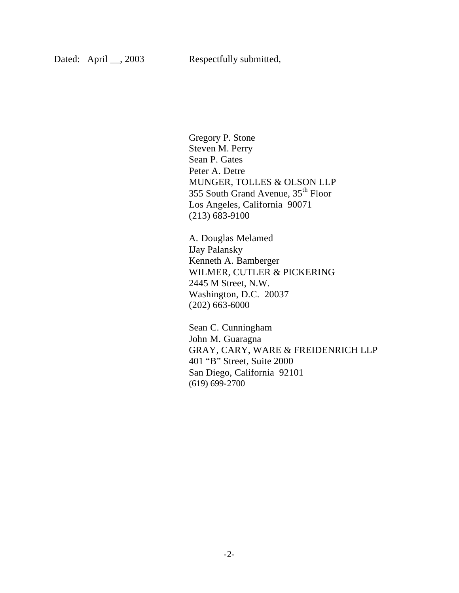$\overline{\phantom{a}}$ 

Gregory P. Stone Steven M. Perry Sean P. Gates Peter A. Detre MUNGER, TOLLES & OLSON LLP 355 South Grand Avenue, 35th Floor Los Angeles, California 90071 (213) 683-9100

A. Douglas Melamed IJay Palansky Kenneth A. Bamberger WILMER, CUTLER & PICKERING 2445 M Street, N.W. Washington, D.C. 20037 (202) 663-6000

Sean C. Cunningham John M. Guaragna GRAY, CARY, WARE & FREIDENRICH LLP 401 "B" Street, Suite 2000 San Diego, California 92101 (619) 699-2700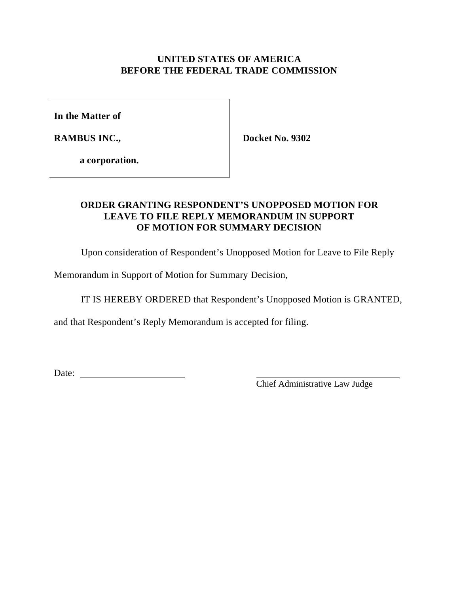**In the Matter of**

**RAMBUS INC.,**

**Docket No. 9302**

**a corporation.**

# **ORDER GRANTING RESPONDENT'S UNOPPOSED MOTION FOR LEAVE TO FILE REPLY MEMORANDUM IN SUPPORT OF MOTION FOR SUMMARY DECISION**

Upon consideration of Respondent's Unopposed Motion for Leave to File Reply

Memorandum in Support of Motion for Summary Decision,

IT IS HEREBY ORDERED that Respondent's Unopposed Motion is GRANTED,

and that Respondent's Reply Memorandum is accepted for filing.

Date:

Chief Administrative Law Judge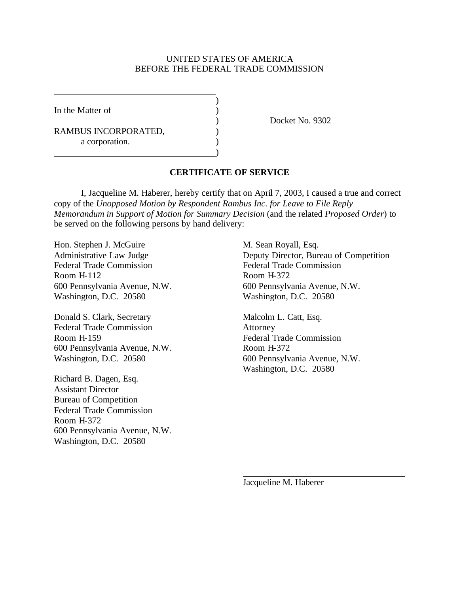)

)

In the Matter of  $\qquad \qquad$  )

RAMBUS INCORPORATED,  $($ a corporation.

) Docket No. 9302

### **CERTIFICATE OF SERVICE**

I, Jacqueline M. Haberer, hereby certify that on April 7, 2003, I caused a true and correct copy of the *Unopposed Motion by Respondent Rambus Inc. for Leave to File Reply Memorandum in Support of Motion for Summary Decision* (and the related *Proposed Order*) to be served on the following persons by hand delivery:

Hon. Stephen J. McGuire M. Sean Royall, Esq. Federal Trade Commission Federal Trade Commission Room H-112 Room H-372 Washington, D.C. 20580 Washington, D.C. 20580

Donald S. Clark, Secretary Malcolm L. Catt, Esq. Federal Trade Commission Attorney Room H-159 Federal Trade Commission 600 Pennsylvania Avenue, N.W. Room H-372 Washington, D.C. 20580 600 Pennsylvania Avenue, N.W.

Richard B. Dagen, Esq. Assistant Director Bureau of Competition Federal Trade Commission Room H-372 600 Pennsylvania Avenue, N.W. Washington, D.C. 20580

Administrative Law Judge Deputy Director, Bureau of Competition 600 Pennsylvania Avenue, N.W. 600 Pennsylvania Avenue, N.W.

Washington, D.C. 20580

Jacqueline M. Haberer